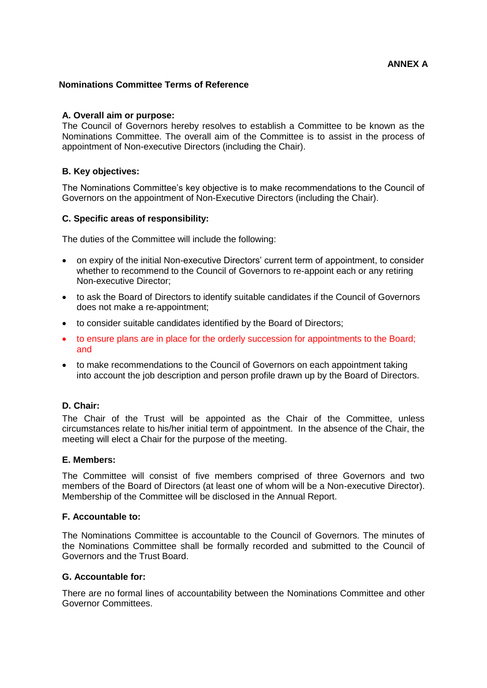## **Nominations Committee Terms of Reference**

## **A. Overall aim or purpose:**

The Council of Governors hereby resolves to establish a Committee to be known as the Nominations Committee. The overall aim of the Committee is to assist in the process of appointment of Non-executive Directors (including the Chair).

## **B. Key objectives:**

The Nominations Committee's key objective is to make recommendations to the Council of Governors on the appointment of Non-Executive Directors (including the Chair).

## **C. Specific areas of responsibility:**

The duties of the Committee will include the following:

- on expiry of the initial Non-executive Directors' current term of appointment, to consider whether to recommend to the Council of Governors to re-appoint each or any retiring Non-executive Director;
- to ask the Board of Directors to identify suitable candidates if the Council of Governors does not make a re-appointment;
- to consider suitable candidates identified by the Board of Directors;
- to ensure plans are in place for the orderly succession for appointments to the Board: and
- to make recommendations to the Council of Governors on each appointment taking into account the job description and person profile drawn up by the Board of Directors.

# **D. Chair:**

The Chair of the Trust will be appointed as the Chair of the Committee, unless circumstances relate to his/her initial term of appointment. In the absence of the Chair, the meeting will elect a Chair for the purpose of the meeting.

### **E. Members:**

The Committee will consist of five members comprised of three Governors and two members of the Board of Directors (at least one of whom will be a Non-executive Director). Membership of the Committee will be disclosed in the Annual Report.

# **F. Accountable to:**

The Nominations Committee is accountable to the Council of Governors. The minutes of the Nominations Committee shall be formally recorded and submitted to the Council of Governors and the Trust Board.

## **G. Accountable for:**

There are no formal lines of accountability between the Nominations Committee and other Governor Committees.